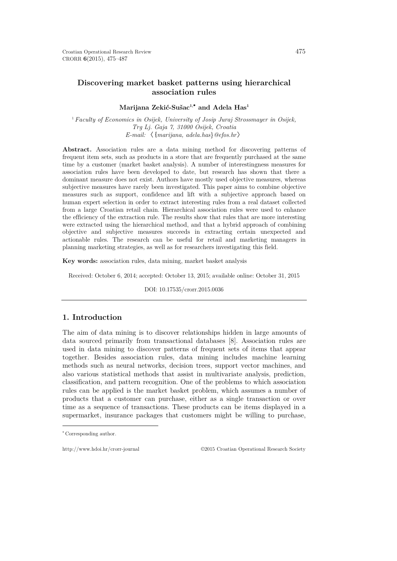# **Discovering market basket patterns using hierarchical association rules**

## **Marijana Zekić-Sušac1,**[∗](#page-0-0) **and Adela Has1**

<sup>1</sup>*Faculty of Economics in Osijek, University of Josip Juraj Strossmayer in Osijek, Trg Lj. Gaja 7, 31000 Osijek, Croatia E-mail:* 〈{*marijana, adela.has*}*@efos.hr*〉

**Abstract.** Association rules are a data mining method for discovering patterns of frequent item sets, such as products in a store that are frequently purchased at the same time by a customer (market basket analysis). A number of interestingness measures for association rules have been developed to date, but research has shown that there a dominant measure does not exist. Authors have mostly used objective measures, whereas subjective measures have rarely been investigated. This paper aims to combine objective measures such as support, confidence and lift with a subjective approach based on human expert selection in order to extract interesting rules from a real dataset collected from a large Croatian retail chain. Hierarchical association rules were used to enhance the efficiency of the extraction rule. The results show that rules that are more interesting were extracted using the hierarchical method, and that a hybrid approach of combining objective and subjective measures succeeds in extracting certain unexpected and actionable rules. The research can be useful for retail and marketing managers in planning marketing strategies, as well as for researchers investigating this field.

**Key words:** association rules, data mining, market basket analysis

Received: October 6, 2014; accepted: October 13, 2015; available online: October 31, 2015

DOI: 10.17535/crorr.2015.0036

### **1. Introduction**

The aim of data mining is to discover relationships hidden in large amounts of data sourced primarily from transactional databases [8]. Association rules are used in data mining to discover patterns of frequent sets of items that appear together. Besides association rules, data mining includes machine learning methods such as neural networks, decision trees, support vector machines, and also various statistical methods that assist in multivariate analysis, prediction, classification, and pattern recognition. One of the problems to which association rules can be applied is the market basket problem, which assumes a number of products that a customer can purchase, either as a single transaction or over time as a sequence of transactions. These products can be items displayed in a supermarket, insurance packages that customers might be willing to purchase,

 $\overline{a}$ 

http://www.hdoi.hr/crorr-journal ©2015 Croatian Operational Research Society

<span id="page-0-0"></span><sup>∗</sup> Corresponding author.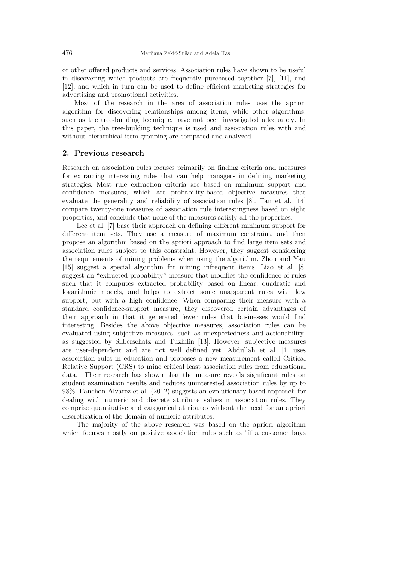or other offered products and services. Association rules have shown to be useful in discovering which products are frequently purchased together [7], [11], and [12], and which in turn can be used to define efficient marketing strategies for advertising and promotional activities.

Most of the research in the area of association rules uses the apriori algorithm for discovering relationships among items, while other algorithms, such as the tree-building technique, have not been investigated adequately. In this paper, the tree-building technique is used and association rules with and without hierarchical item grouping are compared and analyzed.

### **2. Previous research**

Research on association rules focuses primarily on finding criteria and measures for extracting interesting rules that can help managers in defining marketing strategies. Most rule extraction criteria are based on minimum support and confidence measures, which are probability-based objective measures that evaluate the generality and reliability of association rules [8]. Tan et al. [14] compare twenty-one measures of association rule interestingness based on eight properties, and conclude that none of the measures satisfy all the properties.

Lee et al. [7] base their approach on defining different minimum support for different item sets. They use a measure of maximum constraint, and then propose an algorithm based on the apriori approach to find large item sets and association rules subject to this constraint. However, they suggest considering the requirements of mining problems when using the algorithm. Zhou and Yau [15] suggest a special algorithm for mining infrequent items. Liao et al. [8] suggest an "extracted probability" measure that modifies the confidence of rules such that it computes extracted probability based on linear, quadratic and logarithmic models, and helps to extract some unapparent rules with low support, but with a high confidence. When comparing their measure with a standard confidence-support measure, they discovered certain advantages of their approach in that it generated fewer rules that businesses would find interesting. Besides the above objective measures, association rules can be evaluated using subjective measures, such as unexpectedness and actionability, as suggested by Silberschatz and Tuzhilin [13]. However, subjective measures are user-dependent and are not well defined yet. Abdullah et al. [1] uses association rules in education and proposes a new measurement called Critical Relative Support (CRS) to mine critical least association rules from educational data. Their research has shown that the measure reveals significant rules on student examination results and reduces uninterested association rules by up to 98%. Panchon Alvarez et al. (2012) suggests an evolutionary-based approach for dealing with numeric and discrete attribute values in association rules. They comprise quantitative and categorical attributes without the need for an apriori discretization of the domain of numeric attributes.

The majority of the above research was based on the apriori algorithm which focuses mostly on positive association rules such as "if a customer buys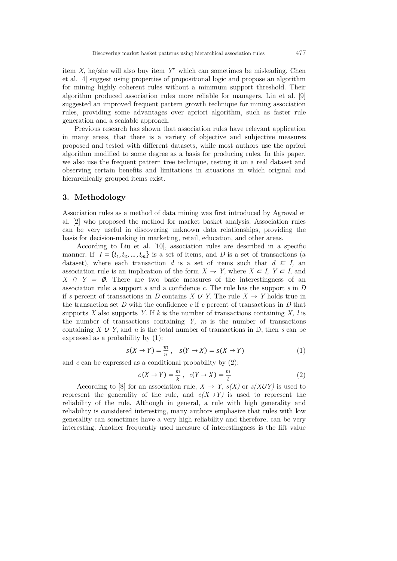item *X*, he/she will also buy item *Y*" which can sometimes be misleading. Chen et al. [4] suggest using properties of propositional logic and propose an algorithm for mining highly coherent rules without a minimum support threshold. Their algorithm produced association rules more reliable for managers. Lin et al. [9] suggested an improved frequent pattern growth technique for mining association rules, providing some advantages over apriori algorithm, such as faster rule generation and a scalable approach.

Previous research has shown that association rules have relevant application in many areas, that there is a variety of objective and subjective measures proposed and tested with different datasets, while most authors use the apriori algorithm modified to some degree as a basis for producing rules. In this paper, we also use the frequent pattern tree technique, testing it on a real dataset and observing certain benefits and limitations in situations in which original and hierarchically grouped items exist.

#### **3. Methodology**

Association rules as a method of data mining was first introduced by Agrawal et al. [2] who proposed the method for market basket analysis. Association rules can be very useful in discovering unknown data relationships, providing the basis for decision-making in marketing, retail, education, and other areas.

According to Liu et al. [10], association rules are described in a specific manner. If  $I = \{i_1, i_2, ..., i_m\}$  is a set of items, and D is a set of transactions (a dataset), where each transaction *d* is a set of items such that  $d \subseteq I$ , an association rule is an implication of the form  $X \to Y$ , where  $X \subset I$ ,  $Y \subset I$ , and *X ∩ Y =*  $\emptyset$ *.* There are two basic measures of the interestingness of an association rule: a support *s* and a confidence *c*. The rule has the support *s* in *D* if *s* percent of transactions in *D* contains *X*  $\cup$  *Y*. The rule *X*  $\rightarrow$  *Y* holds true in the transaction set *D* with the confidence *c* if *c* percent of transactions in *D* that supports *X* also supports *Y*. If *k* is the number of transactions containing *X, l* is the number of transactions containing *Y, m* is the number of transactions containing *X ∪ Y*, and *n* is the total number of transactions in D, then *s* can be expressed as a probability by (1):

$$
s(X \to Y) = \frac{m}{n}, \quad s(Y \to X) = s(X \to Y) \tag{1}
$$

and *c* can be expressed as a conditional probability by (2):

$$
c(X \to Y) = \frac{m}{k}, \quad c(Y \to X) = \frac{m}{l} \tag{2}
$$

According to [8] for an association rule,  $X \to Y$ ,  $s(X)$  or  $s(XUY)$  is used to represent the generality of the rule, and  $c(X \rightarrow Y)$  is used to represent the reliability of the rule. Although in general, a rule with high generality and reliability is considered interesting, many authors emphasize that rules with low generality can sometimes have a very high reliability and therefore, can be very interesting. Another frequently used measure of interestingness is the lift value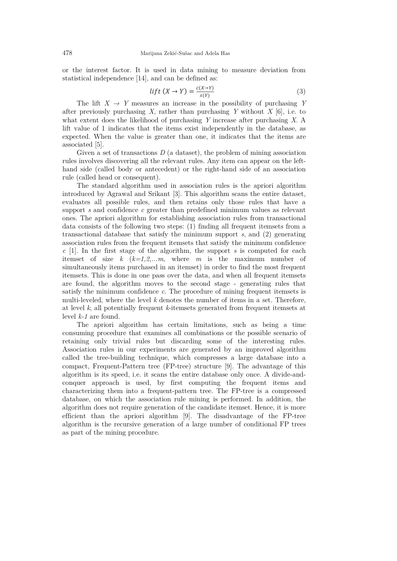or the interest factor. It is used in data mining to measure deviation from statistical independence [14], and can be defined as:

$$
lift(X \to Y) = \frac{c(X \to Y)}{s(Y)}
$$
\n(3)

The lift  $X \to Y$  measures an increase in the possibility of purchasing Y after previously purchasing *X*, rather than purchasing *Y* without *X* [6], i.e. to what extent does the likelihood of purchasing *Y* increase after purchasing *X*. A lift value of 1 indicates that the items exist independently in the database, as expected. When the value is greater than one, it indicates that the items are associated [5].

Given a set of transactions *D* (a dataset), the problem of mining association rules involves discovering all the relevant rules. Any item can appear on the lefthand side (called body or antecedent) or the right-hand side of an association rule (called head or consequent).

The standard algorithm used in association rules is the apriori algorithm introduced by Agrawal and Srikant [3]. This algorithm scans the entire dataset, evaluates all possible rules, and then retains only those rules that have a support *s* and confidence *c* greater than predefined minimum values as relevant ones. The apriori algorithm for establishing association rules from transactional data consists of the following two steps: (1) finding all frequent itemsets from a transactional database that satisfy the minimum support *s*, and (2) generating association rules from the frequent itemsets that satisfy the minimum confidence *c* [1]. In the first stage of the algorithm, the support *s* is computed for each itemset of size *k* (*k=1,2,...m*, where *m* is the maximum number of simultaneously items purchased in an itemset) in order to find the most frequent itemsets. This is done in one pass over the data, and when all frequent itemsets are found, the algorithm moves to the second stage - generating rules that satisfy the minimum confidence *c*. The procedure of mining frequent itemsets is multi-leveled, where the level *k* denotes the number of items in a set. Therefore, at level *k*, all potentially frequent *k*-itemsets generated from frequent itemsets at level *k-1* are found.

The apriori algorithm has certain limitations, such as being a time consuming procedure that examines all combinations or the possible scenario of retaining only trivial rules but discarding some of the interesting rules. Association rules in our experiments are generated by an improved algorithm called the tree-building technique, which compresses a large database into a compact, Frequent-Pattern tree (FP-tree) structure [9]. The advantage of this algorithm is its speed, i.e. it scans the entire database only once. A divide-andconquer approach is used, by first computing the frequent items and characterizing them into a frequent-pattern tree. The FP-tree is a compressed database, on which the association rule mining is performed. In addition, the algorithm does not require generation of the candidate itemset. Hence, it is more efficient than the apriori algorithm [9]. The disadvantage of the FP-tree algorithm is the recursive generation of a large number of conditional FP trees as part of the mining procedure.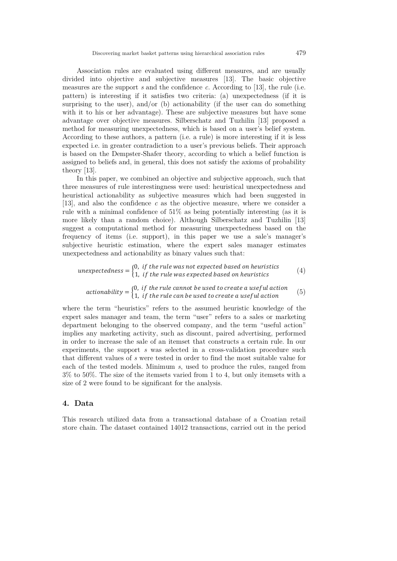Association rules are evaluated using different measures, and are usually divided into objective and subjective measures [13]. The basic objective measures are the support *s* and the confidence *c.* According to [13], the rule (i.e. pattern) is interesting if it satisfies two criteria: (a) unexpectedness (if it is surprising to the user), and/or (b) actionability (if the user can do something with it to his or her advantage). These are subjective measures but have some advantage over objective measures. Silberschatz and Tuzhilin [13] proposed a method for measuring unexpectedness, which is based on a user's belief system. According to these authors, a pattern (i.e. a rule) is more interesting if it is less expected i.e. in greater contradiction to a user's previous beliefs. Their approach is based on the Dempster-Shafer theory, according to which a belief function is assigned to beliefs and, in general, this does not satisfy the axioms of probability theory [13].

In this paper, we combined an objective and subjective approach, such that three measures of rule interestingness were used: heuristical unexpectedness and heuristical actionability as subjective measures which had been suggested in [13], and also the confidence *c* as the objective measure, where we consider a rule with a minimal confidence of 51% as being potentially interesting (as it is more likely than a random choice). Although Silberschatz and Tuzhilin [13] suggest a computational method for measuring unexpectedness based on the frequency of items (i.e. support), in this paper we use a sale's manager's subjective heuristic estimation, where the expert sales manager estimates unexpectedness and actionability as binary values such that:

unexpectedness = 
$$
\begin{cases} 0, & \text{if the rule was not expected based on heuristics} \\ 1, & \text{if the rule was expected based on heuristics} \end{cases}
$$
 (4)

 $y = \begin{cases} 0, & \text{if the rule cannot be used to create a useful action} \ 1, & \text{if the rule can be used to create a useful action} \end{cases} \tag{5}$ 

where the term "heuristics" refers to the assumed heuristic knowledge of the expert sales manager and team, the term "user" refers to a sales or marketing department belonging to the observed company, and the term "useful action" implies any marketing activity, such as discount, paired advertising, performed in order to increase the sale of an itemset that constructs a certain rule. In our experiments, the support *s* was selected in a cross-validation procedure such that different values of *s* were tested in order to find the most suitable value for each of the tested models. Minimum *s*, used to produce the rules, ranged from 3% to 50%. The size of the itemsets varied from 1 to 4, but only itemsets with a size of 2 were found to be significant for the analysis.

#### **4. Data**

This research utilized data from a transactional database of a Croatian retail store chain. The dataset contained 14012 transactions, carried out in the period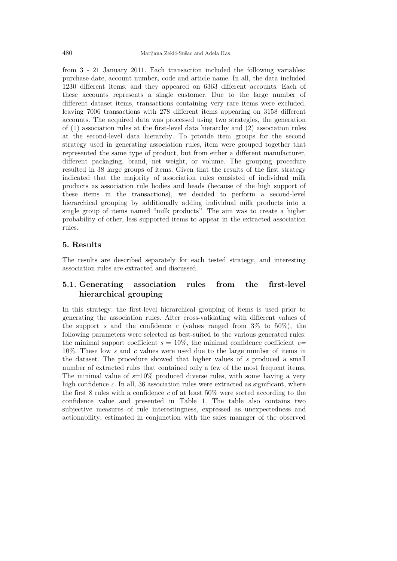from 3 - 21 January 2011. Each transaction included the following variables: purchase date, account number**,** code and article name. In all, the data included 1230 different items, and they appeared on 6363 different accounts. Each of these accounts represents a single customer. Due to the large number of different dataset items, transactions containing very rare items were excluded, leaving 7006 transactions with 278 different items appearing on 3158 different accounts. The acquired data was processed using two strategies, the generation of (1) association rules at the first-level data hierarchy and (2) association rules at the second-level data hierarchy. To provide item groups for the second strategy used in generating association rules, item were grouped together that represented the same type of product, but from either a different manufacturer, different packaging, brand, net weight, or volume. The grouping procedure resulted in 38 large groups of items. Given that the results of the first strategy indicated that the majority of association rules consisted of individual milk products as association rule bodies and heads (because of the high support of these items in the transactions), we decided to perform a second-level hierarchical grouping by additionally adding individual milk products into a single group of items named "milk products". The aim was to create a higher probability of other, less supported items to appear in the extracted association rules.

### **5. Results**

The results are described separately for each tested strategy, and interesting association rules are extracted and discussed.

## **5.1. Generating association rules from the first-level hierarchical grouping**

In this strategy, the first-level hierarchical grouping of items is used prior to generating the association rules. After cross-validating with different values of the support *s* and the confidence *c* (values ranged from  $3\%$  to  $50\%$ ), the following parameters were selected as best-suited to the various generated rules: the minimal support coefficient  $s = 10\%$ , the minimal confidence coefficient  $c =$ 10%. These low *s* and *c* values were used due to the large number of items in the dataset. The procedure showed that higher values of *s* produced a small number of extracted rules that contained only a few of the most frequent items. The minimal value of *s*=10% produced diverse rules, with some having a very high confidence *c*. In all, 36 association rules were extracted as significant, where the first 8 rules with a confidence *c* of at least 50% were sorted according to the confidence value and presented in Table 1. The table also contains two subjective measures of rule interestingness, expressed as unexpectedness and actionability, estimated in conjunction with the sales manager of the observed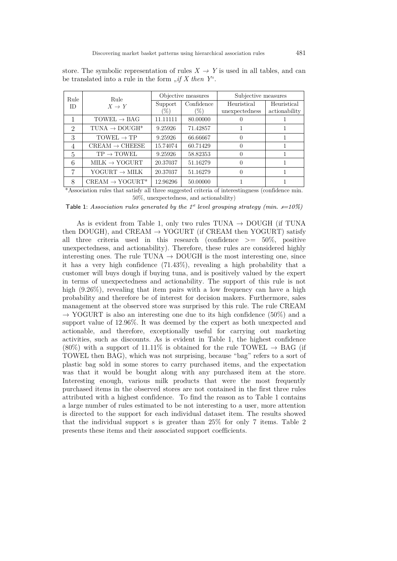| Rule<br>ID.                 | Rule<br>$X \to Y$           | Objective measures |                   | Subjective measures           |                              |
|-----------------------------|-----------------------------|--------------------|-------------------|-------------------------------|------------------------------|
|                             |                             | Support<br>$(\%)$  | Confidence<br>(%) | Heuristical<br>unexpectedness | Heuristical<br>actionability |
|                             | $TOWEL \rightarrow BAG$     | 11.11111           | 80.00000          |                               |                              |
| $\mathcal{D}_{\mathcal{L}}$ | $TUNA \rightarrow DOUGH^*$  | 9.25926            | 71.42857          |                               |                              |
| 3                           | $TOWEL \rightarrow TP$      | 9.25926            | 66.66667          |                               |                              |
| 4                           | CREAM $\rightarrow$ CHEESE  | 15.74074           | 60.71429          |                               |                              |
| 5                           | $TP \rightarrow TOWEL$      | 9.25926            | 58.82353          |                               |                              |
| 6                           | $MILK \rightarrow YOGURT$   | 20.37037           | 51.16279          |                               |                              |
| 7                           | YOGURT $\rightarrow$ MILK   | 20.37037           | 51.16279          | $\Omega$                      |                              |
| 8                           | CREAM $\rightarrow$ YOGURT* | 12.96296           | 50.00000          |                               |                              |

store. The symbolic representation of rules  $X \to Y$  is used in all tables, and can be translated into a rule in the form  $\mathcal{A}$  *if X then Y*".

\*Association rules that satisfy all three suggested criteria of interestingness (confidence min. 50%, unexpectedness, and actionability)

Table 1: Association rules generated by the 1<sup>st</sup> level grouping strategy (min.  $s=10\%$ )

As is evident from Table 1, only two rules TUNA  $\rightarrow$  DOUGH (if TUNA then  $DOUGH$ , and  $CREAM \rightarrow YOGURT$  (if CREAM then YOGURT) satisfy all three criteria used in this research (confidence  $\geq$  50%, positive unexpectedness, and actionability). Therefore, these rules are considered highly interesting ones. The rule TUNA  $\rightarrow$  DOUGH is the most interesting one, since it has a very high confidence (71.43%), revealing a high probability that a customer will buys dough if buying tuna, and is positively valued by the expert in terms of unexpectedness and actionability. The support of this rule is not high  $(9.26\%)$ , revealing that item pairs with a low frequency can have a high probability and therefore be of interest for decision makers. Furthermore, sales management at the observed store was surprised by this rule. The rule CREAM  $\rightarrow$  YOGURT is also an interesting one due to its high confidence (50%) and a support value of 12.96%. It was deemed by the expert as both unexpected and actionable, and therefore, exceptionally useful for carrying out marketing activities, such as discounts. As is evident in Table 1, the highest confidence (80%) with a support of 11.11% is obtained for the rule TOWEL  $\rightarrow$  BAG (if TOWEL then BAG), which was not surprising, because "bag" refers to a sort of plastic bag sold in some stores to carry purchased items, and the expectation was that it would be bought along with any purchased item at the store. Interesting enough, various milk products that were the most frequently purchased items in the observed stores are not contained in the first three rules attributed with a highest confidence. To find the reason as to Table 1 contains a large number of rules estimated to be not interesting to a user, more attention is directed to the support for each individual dataset item. The results showed that the individual support s is greater than 25% for only 7 items. Table 2 presents these items and their associated support coefficients.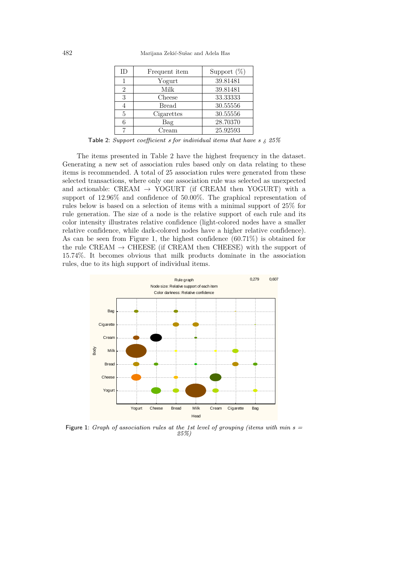482 Marijana Zekić-Sušac and Adela Has

| ΙD                          | Frequent item | Support $(\%)$ |
|-----------------------------|---------------|----------------|
|                             | Yogurt        | 39.81481       |
| $\mathcal{D}_{\mathcal{A}}$ | Milk          | 39.81481       |
| 3                           | Cheese        | 33.33333       |
|                             | <b>Bread</b>  | 30.55556       |
| 5                           | Cigarettes    | 30.55556       |
| 6                           | Bag           | 28.70370       |
|                             | Cream         | 25.92593       |

Table 2: Support coefficient s for individual items that have s  $\lambda$  25%

The items presented in Table 2 have the highest frequency in the dataset. Generating a new set of association rules based only on data relating to these items is recommended. A total of 25 association rules were generated from these selected transactions, where only one association rule was selected as unexpected and actionable: CREAM  $\rightarrow$  YOGURT (if CREAM then YOGURT) with a support of 12.96% and confidence of 50.00%. The graphical representation of rules below is based on a selection of items with a minimal support of 25% for rule generation. The size of a node is the relative support of each rule and its color intensity illustrates relative confidence (light-colored nodes have a smaller relative confidence, while dark-colored nodes have a higher relative confidence). As can be seen from Figure 1, the highest confidence (60.71%) is obtained for the rule CREAM  $\rightarrow$  CHEESE (if CREAM then CHEESE) with the support of 15.74%. It becomes obvious that milk products dominate in the association rules, due to its high support of individual items.



Figure 1: Graph of association rules at the 1st level of grouping (items with min  $s =$ 25%)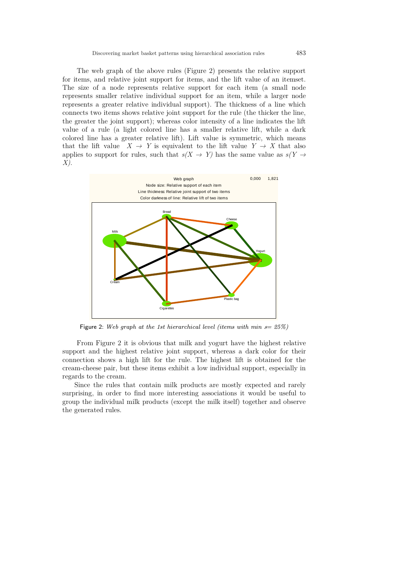The web graph of the above rules (Figure 2) presents the relative support for items, and relative joint support for items, and the lift value of an itemset. The size of a node represents relative support for each item (a small node represents smaller relative individual support for an item, while a larger node represents a greater relative individual support). The thickness of a line which connects two items shows relative joint support for the rule (the thicker the line, the greater the joint support); whereas color intensity of a line indicates the lift value of a rule (a light colored line has a smaller relative lift, while a dark colored line has a greater relative lift). Lift value is symmetric, which means that the lift value  $X \to Y$  is equivalent to the lift value  $Y \to X$  that also applies to support for rules, such that  $s(X \to Y)$  has the same value as  $s(Y \to Y)$ *X)*.



Figure 2: Web graph at the 1st hierarchical level (items with min  $s=25\%$ )

From Figure 2 it is obvious that milk and yogurt have the highest relative support and the highest relative joint support, whereas a dark color for their connection shows a high lift for the rule. The highest lift is obtained for the cream-cheese pair, but these items exhibit a low individual support, especially in regards to the cream.

Since the rules that contain milk products are mostly expected and rarely surprising, in order to find more interesting associations it would be useful to group the individual milk products (except the milk itself) together and observe the generated rules.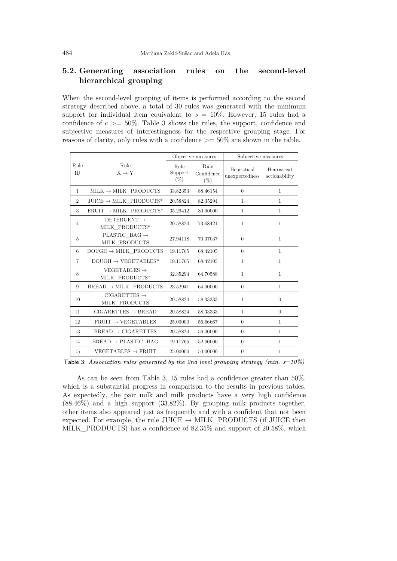## **5.2. Generating association rules on the second-level hierarchical grouping**

When the second-level grouping of items is performed according to the second strategy described above, a total of 30 rules was generated with the minimum support for individual item equivalent to  $s = 10\%$ . However, 15 rules had a confidence of  $c \geq 50\%$ . Table 3 shows the rules, the support, confidence and subjective measures of interestingness for the respective grouping stage. For reasons of clarity, only rules with a confidence  $\geq$  50% are shown in the table.

|                   |                                            | Objective measures        |                              | Subjective measures           |                              |
|-------------------|--------------------------------------------|---------------------------|------------------------------|-------------------------------|------------------------------|
| Rule<br><b>ID</b> | Rule<br>$X \rightarrow Y$                  | Rule<br>Support<br>$(\%)$ | Rule<br>Confidence<br>$(\%)$ | Heuristical<br>unexpectedness | Heuristical<br>actionability |
| $\mathbf{1}$      | $MILK \rightarrow MILK$ PRODUCTS           | 33.82353                  | 88.46154                     | $\overline{0}$                | $\mathbf{1}$                 |
| $\overline{2}$    | $JUICE \rightarrow MILK$ PRODUCTS*         | 20.58824                  | 82.35294                     | $\mathbf{1}$                  | $\mathbf{1}$                 |
| 3                 | $FRUIT \rightarrow MILK$ PRODUCTS*         | 35.29412                  | 80.00000                     | $\mathbf{1}$                  | $\mathbf{1}$                 |
| 4                 | DETERGENT $\rightarrow$<br>MILK PRODUCTS*  | 20.58824                  | 73.68421                     | $\mathbf{1}$                  | $\mathbf{1}$                 |
| $\overline{5}$    | PLASTIC BAG $\rightarrow$<br>MILK PRODUCTS | 27.94118                  | 70.37037                     | $\overline{0}$                | $\mathbf{1}$                 |
| 6                 | $DOUGH \rightarrow MILK$ PRODUCTS          | 19.11765                  | 68.42105                     | $\overline{0}$                | $\mathbf{1}$                 |
| $\overline{7}$    | $DOUGH \rightarrow VEGETABLES^*$           | 19.11765                  | 68.42105                     | $\mathbf{1}$                  | $\mathbf{1}$                 |
| 8                 | VEGETABLES $\rightarrow$<br>MILK PRODUCTS* | 32.35294                  | 64.70588                     | $\mathbf{1}$                  | $\mathbf{1}$                 |
| 9                 | $BREAD \rightarrow MILK$ PRODUCTS          | 23.52941                  | 64.00000                     | $\boldsymbol{0}$              | $\mathbf{1}$                 |
| 10                | $CIGARETTES \rightarrow$<br>MILK PRODUCTS  | 20.58824                  | 58.33333                     | $\mathbf{1}$                  | $\overline{0}$               |
| 11                | $CIGARETTES \rightarrow BREAD$             | 20.58824                  | 58.33333                     | $\mathbf{1}$                  | $\theta$                     |
| 12                | $FRUIT \rightarrow VEGETABLES$             | 25.00000                  | 56.66667                     | $\overline{0}$                | $\mathbf{1}$                 |
| 13                | $BREAD \rightarrow CIGARETTES$             | 20.58824                  | 56.00000                     | $\overline{0}$                | $\mathbf{1}$                 |
| 14                | $BREAD \rightarrow PLASTIC$ BAG            | 19.11765                  | 52.00000                     | $\overline{0}$                | $\mathbf{1}$                 |
| 15                | $VEGETABLES \rightarrow FRUIT$             | 25.00000                  | 50.00000                     | $\boldsymbol{0}$              | $\mathbf{1}$                 |

Table 3: Association rules generated by the 2nd level grouping strategy (min.  $s=10\%$ )

As can be seen from Table 3, 15 rules had a confidence greater than 50%, which is a substantial progress in comparison to the results in previous tables. As expectedly, the pair milk and milk products have a very high confidence (88.46%) and a high support (33.82%). By grouping milk products together, other items also appeared just as frequently and with a confident that not been expected. For example, the rule JUICE  $\rightarrow$  MILK\_PRODUCTS (if JUICE then MILK PRODUCTS) has a confidence of 82.35% and support of 20.58%, which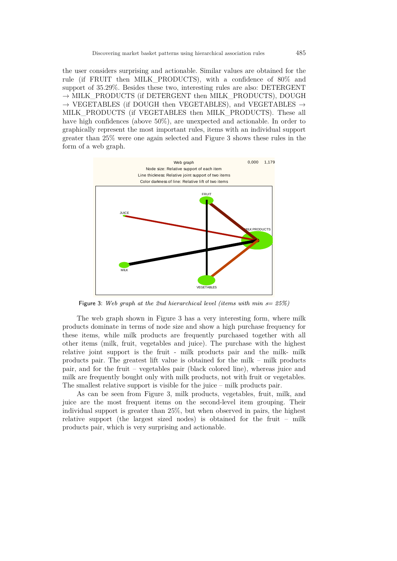the user considers surprising and actionable. Similar values are obtained for the rule (if FRUIT then MILK\_PRODUCTS), with a confidence of 80% and support of 35.29%. Besides these two, interesting rules are also: DETERGENT  $\rightarrow$  MILK\_PRODUCTS (if DETERGENT then MILK\_PRODUCTS), DOUGH  $\rightarrow$  VEGETABLES (if DOUGH then VEGETABLES), and VEGETABLES  $\rightarrow$ MILK\_PRODUCTS (if VEGETABLES then MILK\_PRODUCTS). These all have high confidences (above 50%), are unexpected and actionable. In order to graphically represent the most important rules, items with an individual support greater than 25% were one again selected and Figure 3 shows these rules in the form of a web graph.



Figure 3: Web graph at the 2nd hierarchical level (items with min  $s=25\%$ )

The web graph shown in Figure 3 has a very interesting form, where milk products dominate in terms of node size and show a high purchase frequency for these items, while milk products are frequently purchased together with all other items (milk, fruit, vegetables and juice). The purchase with the highest relative joint support is the fruit - milk products pair and the milk- milk products pair. The greatest lift value is obtained for the milk – milk products pair, and for the fruit – vegetables pair (black colored line), whereas juice and milk are frequently bought only with milk products, not with fruit or vegetables. The smallest relative support is visible for the juice – milk products pair.

As can be seen from Figure 3, milk products, vegetables, fruit, milk, and juice are the most frequent items on the second-level item grouping. Their individual support is greater than 25%, but when observed in pairs, the highest relative support (the largest sized nodes) is obtained for the fruit – milk products pair, which is very surprising and actionable.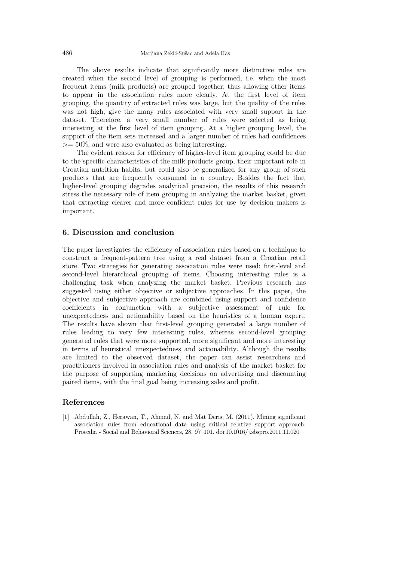The above results indicate that significantly more distinctive rules are created when the second level of grouping is performed, i.e. when the most frequent items (milk products) are grouped together, thus allowing other items to appear in the association rules more clearly. At the first level of item grouping, the quantity of extracted rules was large, but the quality of the rules was not high, give the many rules associated with very small support in the dataset. Therefore, a very small number of rules were selected as being interesting at the first level of item grouping. At a higher grouping level, the support of the item sets increased and a larger number of rules had confidences  $>= 50\%$ , and were also evaluated as being interesting.

The evident reason for efficiency of higher-level item grouping could be due to the specific characteristics of the milk products group, their important role in Croatian nutrition habits, but could also be generalized for any group of such products that are frequently consumed in a country. Besides the fact that higher-level grouping degrades analytical precision, the results of this research stress the necessary role of item grouping in analyzing the market basket, given that extracting clearer and more confident rules for use by decision makers is important.

### **6. Discussion and conclusion**

The paper investigates the efficiency of association rules based on a technique to construct a frequent-pattern tree using a real dataset from a Croatian retail store. Two strategies for generating association rules were used: first-level and second-level hierarchical grouping of items. Choosing interesting rules is a challenging task when analyzing the market basket. Previous research has suggested using either objective or subjective approaches. In this paper, the objective and subjective approach are combined using support and confidence coefficients in conjunction with a subjective assessment of rule for unexpectedness and actionability based on the heuristics of a human expert. The results have shown that first-level grouping generated a large number of rules leading to very few interesting rules, whereas second-level grouping generated rules that were more supported, more significant and more interesting in terms of heuristical unexpectedness and actionability. Although the results are limited to the observed dataset, the paper can assist researchers and practitioners involved in association rules and analysis of the market basket for the purpose of supporting marketing decisions on advertising and discounting paired items, with the final goal being increasing sales and profit.

### **References**

[1] Abdullah, Z., Herawan, T., Ahmad, N. and Mat Deris, M. (2011). Mining significant association rules from educational data using critical relative support approach. Procedia - Social and Behavioral Sciences, 28, 97–101. doi:10.1016/j.sbspro.2011.11.020